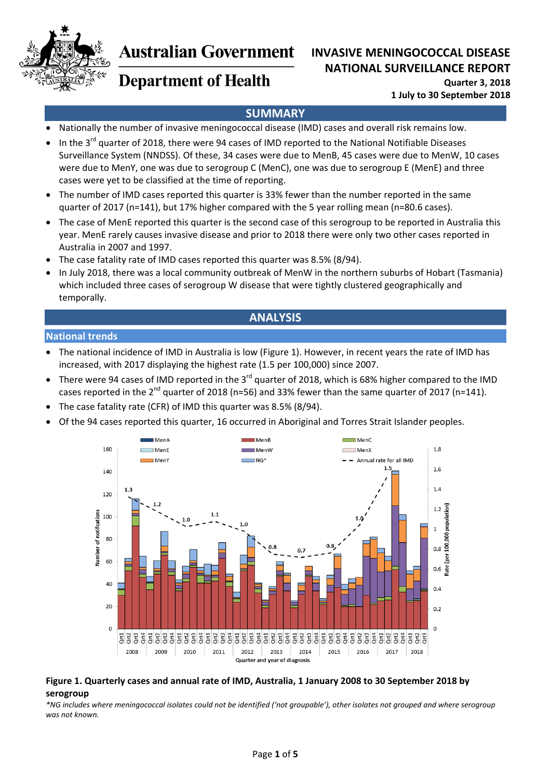

# **Australian Government**

## **INVASIVE MENINGOCOCCAL DISEASE NATIONAL SURVEILLANCE REPORT**

**Quarter 3, 2018 1 July to 30 September 2018**

## **SUMMARY**

- Nationally the number of invasive meningococcal disease (IMD) cases and overall risk remains low.
- In the 3<sup>rd</sup> quarter of 2018, there were 94 cases of IMD reported to the National Notifiable Diseases Surveillance System (NNDSS). Of these, 34 cases were due to MenB, 45 cases were due to MenW, 10 cases were due to MenY, one was due to serogroup C (MenC), one was due to serogroup E (MenE) and three cases were yet to be classified at the time of reporting.
- The number of IMD cases reported this quarter is 33% fewer than the number reported in the same quarter of 2017 (n=141), but 17% higher compared with the 5 year rolling mean (n=80.6 cases).
- The case of MenE reported this quarter is the second case of this serogroup to be reported in Australia this year. MenE rarely causes invasive disease and prior to 2018 there were only two other cases reported in Australia in 2007 and 1997.
- The case fatality rate of IMD cases reported this quarter was 8.5% (8/94).
- In July 2018, there was a local community outbreak of MenW in the northern suburbs of Hobart (Tasmania) which included three cases of serogroup W disease that were tightly clustered geographically and temporally.

## **ANALYSIS**

### **National trends**

- The national incidence of IMD in Australia is low (Figure 1). However, in recent years the rate of IMD has increased, with 2017 displaying the highest rate (1.5 per 100,000) since 2007.
- There were 94 cases of IMD reported in the 3<sup>rd</sup> quarter of 2018, which is 68% higher compared to the IMD cases reported in the  $2^{nd}$  quarter of 2018 (n=56) and 33% fewer than the same quarter of 2017 (n=141).
- The case fatality rate (CFR) of IMD this quarter was 8.5% (8/94).
- Of the 94 cases reported this quarter, 16 occurred in Aboriginal and Torres Strait Islander peoples.



#### Figure 1. Quarterly cases and annual rate of IMD, Australia, 1 January 2008 to 30 September 2018 by **serogroup**

\*NG includes where meningococcal isolates could not be identified ('not groupable'), other isolates not grouped and where serogroup *was not known.*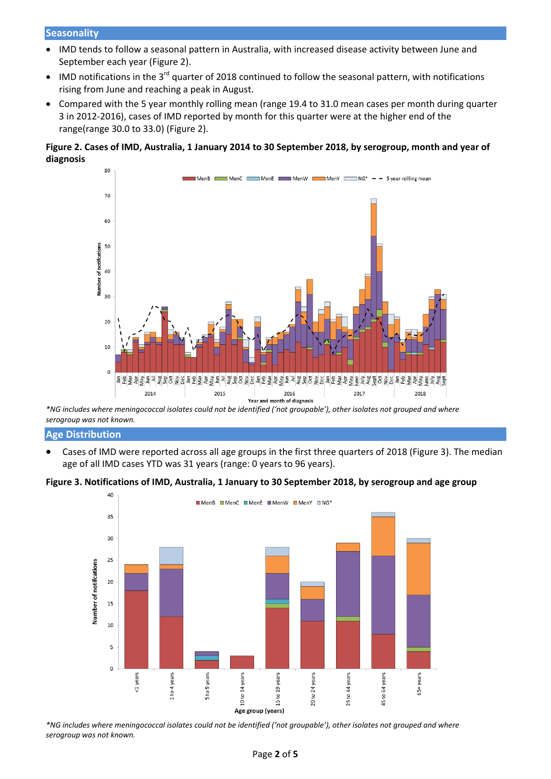#### **Seasonality**

- IMD tends to follow a seasonal pattern in Australia, with increased disease activity between June and September each year (Figure 2).
- $\bullet$  IMD notifications in the 3<sup>rd</sup> quarter of 2018 continued to follow the seasonal pattern, with notifications rising from June and reaching a peak in August.
- Compared with the 5 year monthly rolling mean (range 19.4 to 31.0 mean cases per month during quarter 3 in 2012‐2016), cases of IMD reported by month for this quarter were at the higher end of the range(range 30.0 to 33.0) (Figure 2).

#### Figure 2. Cases of IMD, Australia, 1 January 2014 to 30 September 2018, by serogroup, month and year of **diagnosis**



\*NG includes where meningococcal isolates could not be identified ('not groupable'), other isolates not grouped and where *serogroup was not known.*

#### **Age Distribution**

 Cases of IMD were reported across all age groups in the first three quarters of 2018 (Figure 3). The median age of all IMD cases YTD was 31 years (range: 0 years to 96 years).

#### Figure 3. Notifications of IMD, Australia, 1 January to 30 September 2018, by serogroup and age group



\*NG includes where meningococcal isolates could not be identified ('not groupable'), other isolates not grouped and where *serogroup was not known.*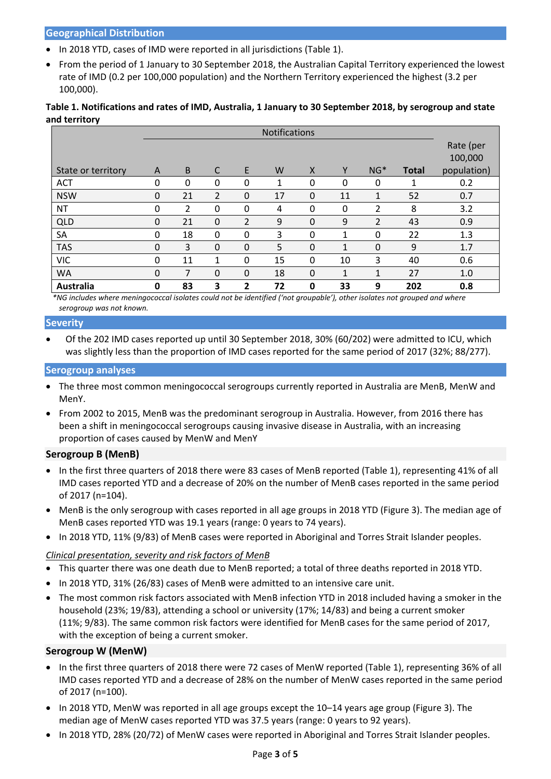#### **Geographical Distribution**

- In 2018 YTD, cases of IMD were reported in all jurisdictions (Table 1).
- From the period of 1 January to 30 September 2018, the Australian Capital Territory experienced the lowest rate of IMD (0.2 per 100,000 population) and the Northern Territory experienced the highest (3.2 per 100,000).

### Table 1. Notifications and rates of IMD, Australia, 1 January to 30 September 2018, by serogroup and state **and territory**

|                    | <b>Notifications</b> |          |              |          |    |              |              |                |              |             |
|--------------------|----------------------|----------|--------------|----------|----|--------------|--------------|----------------|--------------|-------------|
|                    |                      |          |              |          |    |              |              |                |              | Rate (per   |
|                    |                      |          |              |          |    |              |              |                |              | 100,000     |
| State or territory | A                    | B        | $\mathsf{C}$ | E        | W  | $\mathsf{X}$ | Y            | $NG*$          | <b>Total</b> | population) |
| <b>ACT</b>         | 0                    | $\Omega$ | $\Omega$     | 0        | 1  | 0            | 0            | 0              | 1            | 0.2         |
| <b>NSW</b>         | $\Omega$             | 21       | 2            | 0        | 17 | 0            | 11           | $\mathbf{1}$   | 52           | 0.7         |
| <b>NT</b>          | $\Omega$             | 2        | $\Omega$     | $\Omega$ | 4  | $\Omega$     | $\Omega$     | 2              | 8            | 3.2         |
| <b>QLD</b>         | $\Omega$             | 21       | $\Omega$     | 2        | 9  | $\Omega$     | 9            | $\overline{2}$ | 43           | 0.9         |
| <b>SA</b>          | 0                    | 18       | $\Omega$     | 0        | 3  | $\Omega$     | 1            | 0              | 22           | 1.3         |
| <b>TAS</b>         | $\Omega$             | 3        | $\Omega$     | 0        | 5  | $\Omega$     | 1            | 0              | 9            | 1.7         |
| <b>VIC</b>         | 0                    | 11       | 1            | 0        | 15 | 0            | 10           | 3              | 40           | 0.6         |
| <b>WA</b>          | $\Omega$             | 7        | $\Omega$     | 0        | 18 | 0            | $\mathbf{1}$ | $\mathbf{1}$   | 27           | 1.0         |
| Australia          | 0                    | 83       | 3            | 2        | 72 | 0            | 33           | 9              | 202          | 0.8         |

\*NG includes where meningococcal isolates could not be identified ('not groupable'), other isolates not grouped and where *serogroup was not known.*

#### **Severity**

 Of the 202 IMD cases reported up until 30 September 2018, 30% (60/202) were admitted to ICU, which was slightly less than the proportion of IMD cases reported for the same period of 2017 (32%; 88/277).

#### **Serogroup analyses**

- The three most common meningococcal serogroups currently reported in Australia are MenB, MenW and MenY.
- From 2002 to 2015, MenB was the predominant serogroup in Australia. However, from 2016 there has been a shift in meningococcal serogroups causing invasive disease in Australia, with an increasing proportion of cases caused by MenW and MenY

#### **Serogroup B (MenB)**

- In the first three quarters of 2018 there were 83 cases of MenB reported (Table 1), representing 41% of all IMD cases reported YTD and a decrease of 20% on the number of MenB cases reported in the same period of 2017 (n=104).
- MenB is the only serogroup with cases reported in all age groups in 2018 YTD (Figure 3). The median age of MenB cases reported YTD was 19.1 years (range: 0 years to 74 years).
- In 2018 YTD, 11% (9/83) of MenB cases were reported in Aboriginal and Torres Strait Islander peoples.

### *Clinical presentation, severity and risk factors of MenB*

- This quarter there was one death due to MenB reported; a total of three deaths reported in 2018 YTD.
- $\bullet$  In 2018 YTD, 31% (26/83) cases of MenB were admitted to an intensive care unit.
- The most common risk factors associated with MenB infection YTD in 2018 included having a smoker in the household (23%; 19/83), attending a school or university (17%; 14/83) and being a current smoker (11%; 9/83). The same common risk factors were identified for MenB cases for the same period of 2017, with the exception of being a current smoker.

#### **Serogroup W (MenW)**

- In the first three quarters of 2018 there were 72 cases of MenW reported (Table 1), representing 36% of all IMD cases reported YTD and a decrease of 28% on the number of MenW cases reported in the same period of 2017 (n=100).
- In 2018 YTD, MenW was reported in all age groups except the 10–14 years age group (Figure 3). The median age of MenW cases reported YTD was 37.5 years (range: 0 years to 92 years).
- In 2018 YTD, 28% (20/72) of MenW cases were reported in Aboriginal and Torres Strait Islander peoples.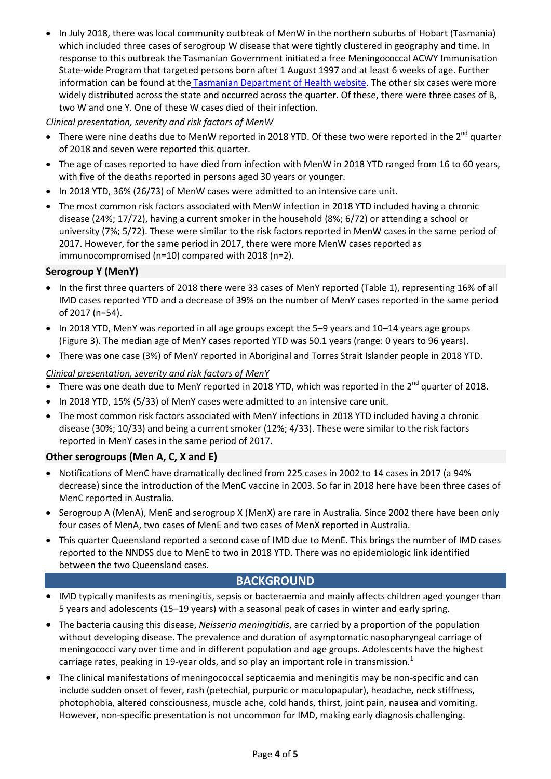In July 2018, there was local community outbreak of MenW in the northern suburbs of Hobart (Tasmania) which included three cases of serogroup W disease that were tightly clustered in geography and time. In response to this outbreak the Tasmanian Government initiated a free Meningococcal ACWY Immunisation State‐wide Program that targeted persons born after 1 August 1997 and at least 6 weeks of age. Further information can be found at the Tasmanian Department of Health website. The other six cases were more widely distributed across the state and occurred across the quarter. Of these, there were three cases of B, two W and one Y. One of these W cases died of their infection.

## *Clinical presentation, severity and risk factors of MenW*

- There were nine deaths due to MenW reported in 2018 YTD. Of these two were reported in the  $2^{nd}$  quarter of 2018 and seven were reported this quarter.
- The age of cases reported to have died from infection with MenW in 2018 YTD ranged from 16 to 60 years, with five of the deaths reported in persons aged 30 years or younger.
- In 2018 YTD, 36% (26/73) of MenW cases were admitted to an intensive care unit.
- The most common risk factors associated with MenW infection in 2018 YTD included having a chronic disease (24%; 17/72), having a current smoker in the household (8%; 6/72) or attending a school or university (7%; 5/72). These were similar to the risk factors reported in MenW cases in the same period of 2017. However, for the same period in 2017, there were more MenW cases reported as immunocompromised (n=10) compared with 2018 (n=2).

## **Serogroup Y (MenY)**

- In the first three quarters of 2018 there were 33 cases of MenY reported (Table 1), representing 16% of all IMD cases reported YTD and a decrease of 39% on the number of MenY cases reported in the same period of 2017 (n=54).
- In 2018 YTD, MenY was reported in all age groups except the 5-9 years and 10-14 years age groups (Figure 3). The median age of MenY cases reported YTD was 50.1 years (range: 0 years to 96 years).
- There was one case (3%) of MenY reported in Aboriginal and Torres Strait Islander people in 2018 YTD.

*Clinical presentation, severity and risk factors of MenY*

- $\bullet$  There was one death due to MenY reported in 2018 YTD, which was reported in the 2<sup>nd</sup> quarter of 2018.
- In 2018 YTD, 15% (5/33) of MenY cases were admitted to an intensive care unit.
- The most common risk factors associated with MenY infections in 2018 YTD included having a chronic disease (30%; 10/33) and being a current smoker (12%; 4/33). These were similar to the risk factors reported in MenY cases in the same period of 2017.

## **Other serogroups (Men A, C, X and E)**

- Notifications of MenC have dramatically declined from 225 cases in 2002 to 14 cases in 2017 (a 94% decrease) since the introduction of the MenC vaccine in 2003. So far in 2018 here have been three cases of MenC reported in Australia.
- Serogroup A (MenA), MenE and serogroup X (MenX) are rare in Australia. Since 2002 there have been only four cases of MenA, two cases of MenE and two cases of MenX reported in Australia.
- This quarter Queensland reported a second case of IMD due to MenE. This brings the number of IMD cases reported to the NNDSS due to MenE to two in 2018 YTD. There was no epidemiologic link identified between the two Queensland cases.

## **BACKGROUND**

- IMD typically manifests as meningitis, sepsis or bacteraemia and mainly affects children aged younger than 5 years and adolescents (15–19 years) with a seasonal peak of cases in winter and early spring.
- The bacteria causing this disease, *Neisseria meningitidis*, are carried by a proportion of the population without developing disease. The prevalence and duration of asymptomatic nasopharyngeal carriage of meningococci vary over time and in different population and age groups. Adolescents have the highest carriage rates, peaking in 19-year olds, and so play an important role in transmission. $<sup>1</sup>$ </sup>
- The clinical manifestations of meningococcal septicaemia and meningitis may be non-specific and can include sudden onset of fever, rash (petechial, purpuric or maculopapular), headache, neck stiffness, photophobia, altered consciousness, muscle ache, cold hands, thirst, joint pain, nausea and vomiting. However, non‐specific presentation is not uncommon for IMD, making early diagnosis challenging.